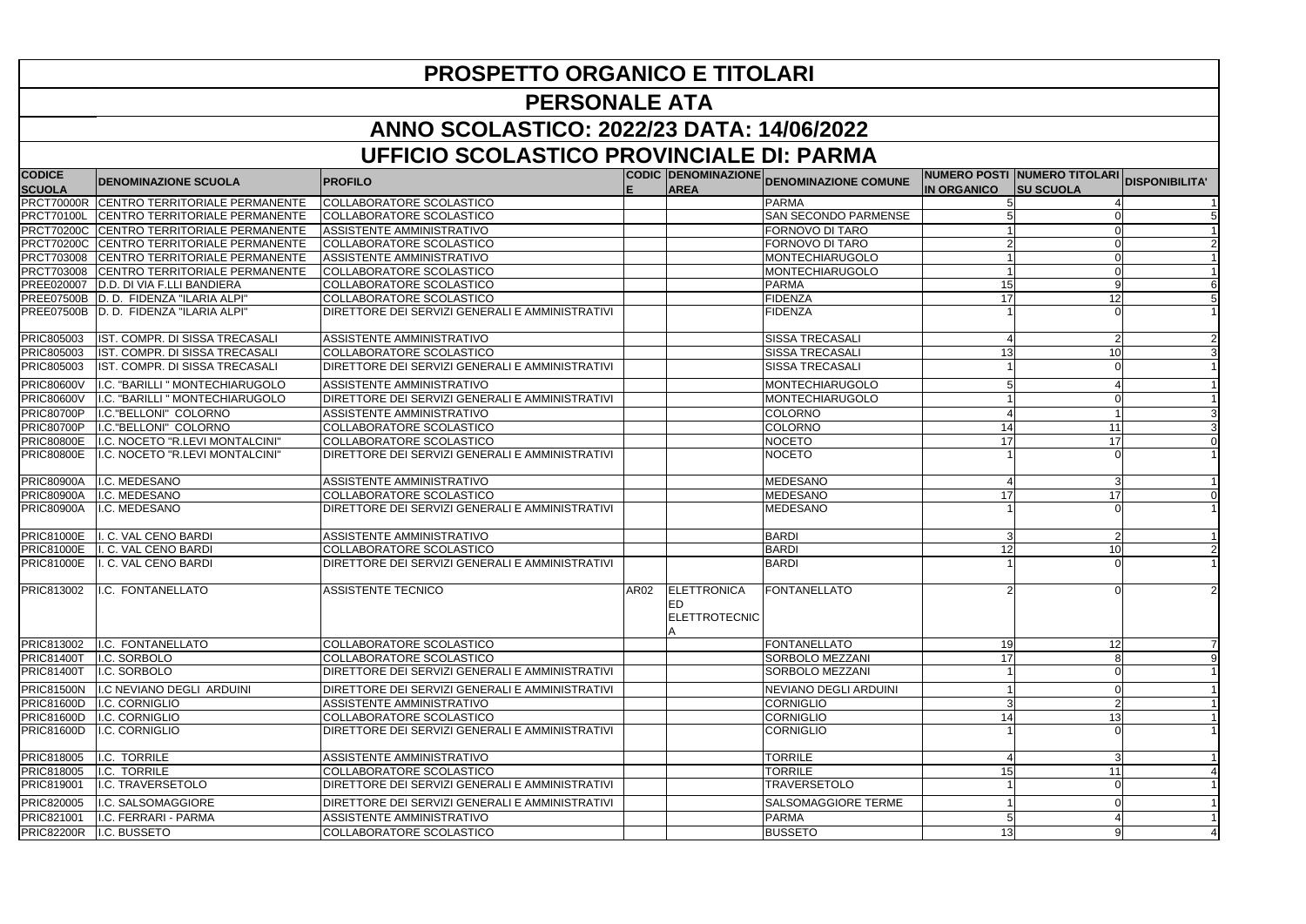| CODIC DENOMINAZIONE DENOMINAZIONE COMUNE<br><b>NUMERO POSTI NUMERO TITOLARI</b><br><b>DISPONIBILITA'</b><br><b>DENOMINAZIONE SCUOLA</b><br><b>PROFILO</b><br><b>SCUOLA</b><br><b>AREA</b><br><b>SU SCUOLA</b><br><b>IN ORGANICO</b><br>PRCT70000R CENTRO TERRITORIALE PERMANENTE<br>COLLABORATORE SCOLASTICO<br>PARMA<br>PRCT70100L<br><b>CENTRO TERRITORIALE PERMANENTE</b><br>COLLABORATORE SCOLASTICO<br><b>SAN SECONDO PARMENSE</b><br>PRCT70200C CENTRO TERRITORIALE PERMANENTE<br><b>ASSISTENTE AMMINISTRATIVO</b><br>FORNOVO DI TARO<br>PRCT70200C CENTRO TERRITORIALE PERMANENTE<br>COLLABORATORE SCOLASTICO<br>FORNOVO DI TARO<br>$\overline{2}$<br><b>PRCT703008</b><br>CENTRO TERRITORIALE PERMANENTE<br><b>ASSISTENTE AMMINISTRATIVO</b><br><b>MONTECHIARUGOLO</b><br><b>PRCT703008</b><br><b>CENTRO TERRITORIALE PERMANENTE</b><br>MONTECHIARUGOLO<br>COLLABORATORE SCOLASTICO<br><b>PREE020007</b><br><b>COLLABORATORE SCOLASTICO</b><br>PARMA<br>D.D. DI VIA F.LLI BANDIERA<br>15<br>6<br>17<br>PREE07500B D.D. FIDENZA "ILARIA ALPI"<br>COLLABORATORE SCOLASTICO<br><b>FIDENZA</b><br>12<br><b>FIDENZA</b><br>PREE07500B D. D. FIDENZA "ILARIA ALPI"<br>DIRETTORE DEI SERVIZI GENERALI E AMMINISTRATIVI<br><b>PRIC805003</b><br><b>SISSA TRECASALI</b><br>IST. COMPR. DI SISSA TRECASALI<br><b>ASSISTENTE AMMINISTRATIVO</b><br>$\overline{2}$<br>IST. COMPR. DI SISSA TRECASALI<br>COLLABORATORE SCOLASTICO<br><b>SISSA TRECASALI</b><br>13<br>10<br>IST. COMPR. DI SISSA TRECASALI<br>DIRETTORE DEI SERVIZI GENERALI E AMMINISTRATIVI<br><b>SISSA TRECASALI</b><br><b>PRIC80600V</b><br>I.C. "BARILLI " MONTECHIARUGOLO<br><b>MONTECHIARUGOLO</b><br><b>ASSISTENTE AMMINISTRATIVO</b><br><b>PRIC80600V</b><br>I.C. "BARILLI " MONTECHIARUGOLO<br>DIRETTORE DEI SERVIZI GENERALI E AMMINISTRATIVI<br><b>MONTECHIARUGOLO</b><br><b>PRIC80700P</b><br>I.C."BELLONI" COLORNO<br><b>ASSISTENTE AMMINISTRATIVO</b><br><b>COLORNO</b><br>3<br><b>PRIC80700P</b><br>I.C. "BELLONI" COLORNO<br>COLLABORATORE SCOLASTICO<br><b>COLORNO</b><br>3<br>14<br>11<br>I.C. NOCETO "R.LEVI MONTALCINI"<br>COLLABORATORE SCOLASTICO<br><b>NOCETO</b><br>17<br>17<br>$\Omega$<br>I.C. NOCETO "R.LEVI MONTALCINI"<br><b>NOCETO</b><br>DIRETTORE DEI SERVIZI GENERALI E AMMINISTRATIVI<br><b>PRIC80800E</b><br><b>PRIC80900A</b><br>MEDESANO<br>I.C. MEDESANO<br>ASSISTENTE AMMINISTRATIVO<br><b>PRIC80900A</b><br><b>MEDESANO</b><br>17<br>I.C. MEDESANO<br>COLLABORATORE SCOLASTICO<br>17<br>0<br><b>MEDESANO</b><br>DIRETTORE DEI SERVIZI GENERALI E AMMINISTRATIVI<br><b>PRIC80900A</b><br>I.C. MEDESANO<br><b>PRIC81000E</b><br>. C. VAL CENO BARDI<br>BARDI<br><b>ASSISTENTE AMMINISTRATIVO</b><br>2<br>BARDI<br>12<br>10 <sup>1</sup><br>$\overline{2}$<br><b>PRIC81000E</b><br>. C. VAL CENO BARDI<br>COLLABORATORE SCOLASTICO<br>BARDI<br>I. C. VAL CENO BARDI<br>DIRETTORE DEI SERVIZI GENERALI E AMMINISTRATIVI<br>I.C. FONTANELLATO<br><b>ASSISTENTE TECNICO</b><br>AR02<br><b>ELETTRONICA</b><br><b>FONTANELLATO</b><br>$\overline{2}$<br><b>ED</b><br><b>ELETTROTECNIC</b><br>FONTANELLATO<br>I.C. FONTANELLATO<br>19<br>12<br>$\overline{7}$<br>COLLABORATORE SCOLASTICO<br>$\overline{9}$<br>17<br>I.C. SORBOLO<br><b>SORBOLO MEZZANI</b><br>COLLABORATORE SCOLASTICO<br>PRIC81400T<br>I.C. SORBOLO<br>DIRETTORE DEI SERVIZI GENERALI E AMMINISTRATIVI<br>SORBOLO MEZZANI<br><b>PRIC81500N</b><br>I.C NEVIANO DEGLI ARDUINI<br>DIRETTORE DEI SERVIZI GENERALI E AMMINISTRATIVI<br><b>NEVIANO DEGLI ARDUINI</b><br><b>PRIC81600D</b><br>CORNIGLIO<br>I.C. CORNIGLIO<br>ASSISTENTE AMMINISTRATIVO<br><b>PRIC81600D</b><br>COLLABORATORE SCOLASTICO<br>CORNIGLIO<br>13<br>I.C. CORNIGLIO<br>14<br>CORNIGLIO<br><b>PRIC81600D</b><br>I.C. CORNIGLIO<br>DIRETTORE DEI SERVIZI GENERALI E AMMINISTRATIVI<br><b>TORRILE</b><br>I.C. TORRILE<br>ASSISTENTE AMMINISTRATIVO<br><b>TORRILE</b><br>I.C. TORRILE<br>COLLABORATORE SCOLASTICO<br>15<br>11<br><b>TRAVERSETOLO</b><br>I.C. TRAVERSETOLO<br>DIRETTORE DEI SERVIZI GENERALI E AMMINISTRATIVI<br>I.C. SALSOMAGGIORE<br>DIRETTORE DEI SERVIZI GENERALI E AMMINISTRATIVI<br>SALSOMAGGIORE TERME<br>I.C. FERRARI - PARMA<br>PARMA<br>ASSISTENTE AMMINISTRATIVO<br>13<br><b>BUSSETO</b><br>I.C. BUSSETO<br>COLLABORATORE SCOLASTICO<br>9 | <b>UFFICIO SCOLASTICO PROVINCIALE DI: PARMA</b> |  |  |  |  |  |  |  |  |  |
|-----------------------------------------------------------------------------------------------------------------------------------------------------------------------------------------------------------------------------------------------------------------------------------------------------------------------------------------------------------------------------------------------------------------------------------------------------------------------------------------------------------------------------------------------------------------------------------------------------------------------------------------------------------------------------------------------------------------------------------------------------------------------------------------------------------------------------------------------------------------------------------------------------------------------------------------------------------------------------------------------------------------------------------------------------------------------------------------------------------------------------------------------------------------------------------------------------------------------------------------------------------------------------------------------------------------------------------------------------------------------------------------------------------------------------------------------------------------------------------------------------------------------------------------------------------------------------------------------------------------------------------------------------------------------------------------------------------------------------------------------------------------------------------------------------------------------------------------------------------------------------------------------------------------------------------------------------------------------------------------------------------------------------------------------------------------------------------------------------------------------------------------------------------------------------------------------------------------------------------------------------------------------------------------------------------------------------------------------------------------------------------------------------------------------------------------------------------------------------------------------------------------------------------------------------------------------------------------------------------------------------------------------------------------------------------------------------------------------------------------------------------------------------------------------------------------------------------------------------------------------------------------------------------------------------------------------------------------------------------------------------------------------------------------------------------------------------------------------------------------------------------------------------------------------------------------------------------------------------------------------------------------------------------------------------------------------------------------------------------------------------------------------------------------------------------------------------------------------------------------------------------------------------------------------------------------------------------------------------------------------------------------------------------------------------------------------------------------------------------------------------------------------------------------------------------------------------------------------------------------------------------------------------------------------------------------------------------------------------------------------------------------------------------------------------------------------------------------------------------------------------------------------------------------------------------------------------------------------------------------------------------------------------------------------|-------------------------------------------------|--|--|--|--|--|--|--|--|--|
|                                                                                                                                                                                                                                                                                                                                                                                                                                                                                                                                                                                                                                                                                                                                                                                                                                                                                                                                                                                                                                                                                                                                                                                                                                                                                                                                                                                                                                                                                                                                                                                                                                                                                                                                                                                                                                                                                                                                                                                                                                                                                                                                                                                                                                                                                                                                                                                                                                                                                                                                                                                                                                                                                                                                                                                                                                                                                                                                                                                                                                                                                                                                                                                                                                                                                                                                                                                                                                                                                                                                                                                                                                                                                                                                                                                                                                                                                                                                                                                                                                                                                                                                                                                                                                                                                               | <b>CODICE</b>                                   |  |  |  |  |  |  |  |  |  |
|                                                                                                                                                                                                                                                                                                                                                                                                                                                                                                                                                                                                                                                                                                                                                                                                                                                                                                                                                                                                                                                                                                                                                                                                                                                                                                                                                                                                                                                                                                                                                                                                                                                                                                                                                                                                                                                                                                                                                                                                                                                                                                                                                                                                                                                                                                                                                                                                                                                                                                                                                                                                                                                                                                                                                                                                                                                                                                                                                                                                                                                                                                                                                                                                                                                                                                                                                                                                                                                                                                                                                                                                                                                                                                                                                                                                                                                                                                                                                                                                                                                                                                                                                                                                                                                                                               |                                                 |  |  |  |  |  |  |  |  |  |
|                                                                                                                                                                                                                                                                                                                                                                                                                                                                                                                                                                                                                                                                                                                                                                                                                                                                                                                                                                                                                                                                                                                                                                                                                                                                                                                                                                                                                                                                                                                                                                                                                                                                                                                                                                                                                                                                                                                                                                                                                                                                                                                                                                                                                                                                                                                                                                                                                                                                                                                                                                                                                                                                                                                                                                                                                                                                                                                                                                                                                                                                                                                                                                                                                                                                                                                                                                                                                                                                                                                                                                                                                                                                                                                                                                                                                                                                                                                                                                                                                                                                                                                                                                                                                                                                                               |                                                 |  |  |  |  |  |  |  |  |  |
|                                                                                                                                                                                                                                                                                                                                                                                                                                                                                                                                                                                                                                                                                                                                                                                                                                                                                                                                                                                                                                                                                                                                                                                                                                                                                                                                                                                                                                                                                                                                                                                                                                                                                                                                                                                                                                                                                                                                                                                                                                                                                                                                                                                                                                                                                                                                                                                                                                                                                                                                                                                                                                                                                                                                                                                                                                                                                                                                                                                                                                                                                                                                                                                                                                                                                                                                                                                                                                                                                                                                                                                                                                                                                                                                                                                                                                                                                                                                                                                                                                                                                                                                                                                                                                                                                               |                                                 |  |  |  |  |  |  |  |  |  |
|                                                                                                                                                                                                                                                                                                                                                                                                                                                                                                                                                                                                                                                                                                                                                                                                                                                                                                                                                                                                                                                                                                                                                                                                                                                                                                                                                                                                                                                                                                                                                                                                                                                                                                                                                                                                                                                                                                                                                                                                                                                                                                                                                                                                                                                                                                                                                                                                                                                                                                                                                                                                                                                                                                                                                                                                                                                                                                                                                                                                                                                                                                                                                                                                                                                                                                                                                                                                                                                                                                                                                                                                                                                                                                                                                                                                                                                                                                                                                                                                                                                                                                                                                                                                                                                                                               |                                                 |  |  |  |  |  |  |  |  |  |
|                                                                                                                                                                                                                                                                                                                                                                                                                                                                                                                                                                                                                                                                                                                                                                                                                                                                                                                                                                                                                                                                                                                                                                                                                                                                                                                                                                                                                                                                                                                                                                                                                                                                                                                                                                                                                                                                                                                                                                                                                                                                                                                                                                                                                                                                                                                                                                                                                                                                                                                                                                                                                                                                                                                                                                                                                                                                                                                                                                                                                                                                                                                                                                                                                                                                                                                                                                                                                                                                                                                                                                                                                                                                                                                                                                                                                                                                                                                                                                                                                                                                                                                                                                                                                                                                                               |                                                 |  |  |  |  |  |  |  |  |  |
|                                                                                                                                                                                                                                                                                                                                                                                                                                                                                                                                                                                                                                                                                                                                                                                                                                                                                                                                                                                                                                                                                                                                                                                                                                                                                                                                                                                                                                                                                                                                                                                                                                                                                                                                                                                                                                                                                                                                                                                                                                                                                                                                                                                                                                                                                                                                                                                                                                                                                                                                                                                                                                                                                                                                                                                                                                                                                                                                                                                                                                                                                                                                                                                                                                                                                                                                                                                                                                                                                                                                                                                                                                                                                                                                                                                                                                                                                                                                                                                                                                                                                                                                                                                                                                                                                               |                                                 |  |  |  |  |  |  |  |  |  |
|                                                                                                                                                                                                                                                                                                                                                                                                                                                                                                                                                                                                                                                                                                                                                                                                                                                                                                                                                                                                                                                                                                                                                                                                                                                                                                                                                                                                                                                                                                                                                                                                                                                                                                                                                                                                                                                                                                                                                                                                                                                                                                                                                                                                                                                                                                                                                                                                                                                                                                                                                                                                                                                                                                                                                                                                                                                                                                                                                                                                                                                                                                                                                                                                                                                                                                                                                                                                                                                                                                                                                                                                                                                                                                                                                                                                                                                                                                                                                                                                                                                                                                                                                                                                                                                                                               |                                                 |  |  |  |  |  |  |  |  |  |
|                                                                                                                                                                                                                                                                                                                                                                                                                                                                                                                                                                                                                                                                                                                                                                                                                                                                                                                                                                                                                                                                                                                                                                                                                                                                                                                                                                                                                                                                                                                                                                                                                                                                                                                                                                                                                                                                                                                                                                                                                                                                                                                                                                                                                                                                                                                                                                                                                                                                                                                                                                                                                                                                                                                                                                                                                                                                                                                                                                                                                                                                                                                                                                                                                                                                                                                                                                                                                                                                                                                                                                                                                                                                                                                                                                                                                                                                                                                                                                                                                                                                                                                                                                                                                                                                                               |                                                 |  |  |  |  |  |  |  |  |  |
|                                                                                                                                                                                                                                                                                                                                                                                                                                                                                                                                                                                                                                                                                                                                                                                                                                                                                                                                                                                                                                                                                                                                                                                                                                                                                                                                                                                                                                                                                                                                                                                                                                                                                                                                                                                                                                                                                                                                                                                                                                                                                                                                                                                                                                                                                                                                                                                                                                                                                                                                                                                                                                                                                                                                                                                                                                                                                                                                                                                                                                                                                                                                                                                                                                                                                                                                                                                                                                                                                                                                                                                                                                                                                                                                                                                                                                                                                                                                                                                                                                                                                                                                                                                                                                                                                               |                                                 |  |  |  |  |  |  |  |  |  |
|                                                                                                                                                                                                                                                                                                                                                                                                                                                                                                                                                                                                                                                                                                                                                                                                                                                                                                                                                                                                                                                                                                                                                                                                                                                                                                                                                                                                                                                                                                                                                                                                                                                                                                                                                                                                                                                                                                                                                                                                                                                                                                                                                                                                                                                                                                                                                                                                                                                                                                                                                                                                                                                                                                                                                                                                                                                                                                                                                                                                                                                                                                                                                                                                                                                                                                                                                                                                                                                                                                                                                                                                                                                                                                                                                                                                                                                                                                                                                                                                                                                                                                                                                                                                                                                                                               |                                                 |  |  |  |  |  |  |  |  |  |
|                                                                                                                                                                                                                                                                                                                                                                                                                                                                                                                                                                                                                                                                                                                                                                                                                                                                                                                                                                                                                                                                                                                                                                                                                                                                                                                                                                                                                                                                                                                                                                                                                                                                                                                                                                                                                                                                                                                                                                                                                                                                                                                                                                                                                                                                                                                                                                                                                                                                                                                                                                                                                                                                                                                                                                                                                                                                                                                                                                                                                                                                                                                                                                                                                                                                                                                                                                                                                                                                                                                                                                                                                                                                                                                                                                                                                                                                                                                                                                                                                                                                                                                                                                                                                                                                                               | <b>PRIC805003</b>                               |  |  |  |  |  |  |  |  |  |
|                                                                                                                                                                                                                                                                                                                                                                                                                                                                                                                                                                                                                                                                                                                                                                                                                                                                                                                                                                                                                                                                                                                                                                                                                                                                                                                                                                                                                                                                                                                                                                                                                                                                                                                                                                                                                                                                                                                                                                                                                                                                                                                                                                                                                                                                                                                                                                                                                                                                                                                                                                                                                                                                                                                                                                                                                                                                                                                                                                                                                                                                                                                                                                                                                                                                                                                                                                                                                                                                                                                                                                                                                                                                                                                                                                                                                                                                                                                                                                                                                                                                                                                                                                                                                                                                                               | <b>PRIC805003</b>                               |  |  |  |  |  |  |  |  |  |
|                                                                                                                                                                                                                                                                                                                                                                                                                                                                                                                                                                                                                                                                                                                                                                                                                                                                                                                                                                                                                                                                                                                                                                                                                                                                                                                                                                                                                                                                                                                                                                                                                                                                                                                                                                                                                                                                                                                                                                                                                                                                                                                                                                                                                                                                                                                                                                                                                                                                                                                                                                                                                                                                                                                                                                                                                                                                                                                                                                                                                                                                                                                                                                                                                                                                                                                                                                                                                                                                                                                                                                                                                                                                                                                                                                                                                                                                                                                                                                                                                                                                                                                                                                                                                                                                                               |                                                 |  |  |  |  |  |  |  |  |  |
|                                                                                                                                                                                                                                                                                                                                                                                                                                                                                                                                                                                                                                                                                                                                                                                                                                                                                                                                                                                                                                                                                                                                                                                                                                                                                                                                                                                                                                                                                                                                                                                                                                                                                                                                                                                                                                                                                                                                                                                                                                                                                                                                                                                                                                                                                                                                                                                                                                                                                                                                                                                                                                                                                                                                                                                                                                                                                                                                                                                                                                                                                                                                                                                                                                                                                                                                                                                                                                                                                                                                                                                                                                                                                                                                                                                                                                                                                                                                                                                                                                                                                                                                                                                                                                                                                               |                                                 |  |  |  |  |  |  |  |  |  |
|                                                                                                                                                                                                                                                                                                                                                                                                                                                                                                                                                                                                                                                                                                                                                                                                                                                                                                                                                                                                                                                                                                                                                                                                                                                                                                                                                                                                                                                                                                                                                                                                                                                                                                                                                                                                                                                                                                                                                                                                                                                                                                                                                                                                                                                                                                                                                                                                                                                                                                                                                                                                                                                                                                                                                                                                                                                                                                                                                                                                                                                                                                                                                                                                                                                                                                                                                                                                                                                                                                                                                                                                                                                                                                                                                                                                                                                                                                                                                                                                                                                                                                                                                                                                                                                                                               |                                                 |  |  |  |  |  |  |  |  |  |
|                                                                                                                                                                                                                                                                                                                                                                                                                                                                                                                                                                                                                                                                                                                                                                                                                                                                                                                                                                                                                                                                                                                                                                                                                                                                                                                                                                                                                                                                                                                                                                                                                                                                                                                                                                                                                                                                                                                                                                                                                                                                                                                                                                                                                                                                                                                                                                                                                                                                                                                                                                                                                                                                                                                                                                                                                                                                                                                                                                                                                                                                                                                                                                                                                                                                                                                                                                                                                                                                                                                                                                                                                                                                                                                                                                                                                                                                                                                                                                                                                                                                                                                                                                                                                                                                                               |                                                 |  |  |  |  |  |  |  |  |  |
|                                                                                                                                                                                                                                                                                                                                                                                                                                                                                                                                                                                                                                                                                                                                                                                                                                                                                                                                                                                                                                                                                                                                                                                                                                                                                                                                                                                                                                                                                                                                                                                                                                                                                                                                                                                                                                                                                                                                                                                                                                                                                                                                                                                                                                                                                                                                                                                                                                                                                                                                                                                                                                                                                                                                                                                                                                                                                                                                                                                                                                                                                                                                                                                                                                                                                                                                                                                                                                                                                                                                                                                                                                                                                                                                                                                                                                                                                                                                                                                                                                                                                                                                                                                                                                                                                               | <b>PRIC80800E</b>                               |  |  |  |  |  |  |  |  |  |
|                                                                                                                                                                                                                                                                                                                                                                                                                                                                                                                                                                                                                                                                                                                                                                                                                                                                                                                                                                                                                                                                                                                                                                                                                                                                                                                                                                                                                                                                                                                                                                                                                                                                                                                                                                                                                                                                                                                                                                                                                                                                                                                                                                                                                                                                                                                                                                                                                                                                                                                                                                                                                                                                                                                                                                                                                                                                                                                                                                                                                                                                                                                                                                                                                                                                                                                                                                                                                                                                                                                                                                                                                                                                                                                                                                                                                                                                                                                                                                                                                                                                                                                                                                                                                                                                                               |                                                 |  |  |  |  |  |  |  |  |  |
|                                                                                                                                                                                                                                                                                                                                                                                                                                                                                                                                                                                                                                                                                                                                                                                                                                                                                                                                                                                                                                                                                                                                                                                                                                                                                                                                                                                                                                                                                                                                                                                                                                                                                                                                                                                                                                                                                                                                                                                                                                                                                                                                                                                                                                                                                                                                                                                                                                                                                                                                                                                                                                                                                                                                                                                                                                                                                                                                                                                                                                                                                                                                                                                                                                                                                                                                                                                                                                                                                                                                                                                                                                                                                                                                                                                                                                                                                                                                                                                                                                                                                                                                                                                                                                                                                               |                                                 |  |  |  |  |  |  |  |  |  |
|                                                                                                                                                                                                                                                                                                                                                                                                                                                                                                                                                                                                                                                                                                                                                                                                                                                                                                                                                                                                                                                                                                                                                                                                                                                                                                                                                                                                                                                                                                                                                                                                                                                                                                                                                                                                                                                                                                                                                                                                                                                                                                                                                                                                                                                                                                                                                                                                                                                                                                                                                                                                                                                                                                                                                                                                                                                                                                                                                                                                                                                                                                                                                                                                                                                                                                                                                                                                                                                                                                                                                                                                                                                                                                                                                                                                                                                                                                                                                                                                                                                                                                                                                                                                                                                                                               |                                                 |  |  |  |  |  |  |  |  |  |
|                                                                                                                                                                                                                                                                                                                                                                                                                                                                                                                                                                                                                                                                                                                                                                                                                                                                                                                                                                                                                                                                                                                                                                                                                                                                                                                                                                                                                                                                                                                                                                                                                                                                                                                                                                                                                                                                                                                                                                                                                                                                                                                                                                                                                                                                                                                                                                                                                                                                                                                                                                                                                                                                                                                                                                                                                                                                                                                                                                                                                                                                                                                                                                                                                                                                                                                                                                                                                                                                                                                                                                                                                                                                                                                                                                                                                                                                                                                                                                                                                                                                                                                                                                                                                                                                                               |                                                 |  |  |  |  |  |  |  |  |  |
|                                                                                                                                                                                                                                                                                                                                                                                                                                                                                                                                                                                                                                                                                                                                                                                                                                                                                                                                                                                                                                                                                                                                                                                                                                                                                                                                                                                                                                                                                                                                                                                                                                                                                                                                                                                                                                                                                                                                                                                                                                                                                                                                                                                                                                                                                                                                                                                                                                                                                                                                                                                                                                                                                                                                                                                                                                                                                                                                                                                                                                                                                                                                                                                                                                                                                                                                                                                                                                                                                                                                                                                                                                                                                                                                                                                                                                                                                                                                                                                                                                                                                                                                                                                                                                                                                               |                                                 |  |  |  |  |  |  |  |  |  |
|                                                                                                                                                                                                                                                                                                                                                                                                                                                                                                                                                                                                                                                                                                                                                                                                                                                                                                                                                                                                                                                                                                                                                                                                                                                                                                                                                                                                                                                                                                                                                                                                                                                                                                                                                                                                                                                                                                                                                                                                                                                                                                                                                                                                                                                                                                                                                                                                                                                                                                                                                                                                                                                                                                                                                                                                                                                                                                                                                                                                                                                                                                                                                                                                                                                                                                                                                                                                                                                                                                                                                                                                                                                                                                                                                                                                                                                                                                                                                                                                                                                                                                                                                                                                                                                                                               |                                                 |  |  |  |  |  |  |  |  |  |
|                                                                                                                                                                                                                                                                                                                                                                                                                                                                                                                                                                                                                                                                                                                                                                                                                                                                                                                                                                                                                                                                                                                                                                                                                                                                                                                                                                                                                                                                                                                                                                                                                                                                                                                                                                                                                                                                                                                                                                                                                                                                                                                                                                                                                                                                                                                                                                                                                                                                                                                                                                                                                                                                                                                                                                                                                                                                                                                                                                                                                                                                                                                                                                                                                                                                                                                                                                                                                                                                                                                                                                                                                                                                                                                                                                                                                                                                                                                                                                                                                                                                                                                                                                                                                                                                                               | <b>PRIC81000E</b>                               |  |  |  |  |  |  |  |  |  |
|                                                                                                                                                                                                                                                                                                                                                                                                                                                                                                                                                                                                                                                                                                                                                                                                                                                                                                                                                                                                                                                                                                                                                                                                                                                                                                                                                                                                                                                                                                                                                                                                                                                                                                                                                                                                                                                                                                                                                                                                                                                                                                                                                                                                                                                                                                                                                                                                                                                                                                                                                                                                                                                                                                                                                                                                                                                                                                                                                                                                                                                                                                                                                                                                                                                                                                                                                                                                                                                                                                                                                                                                                                                                                                                                                                                                                                                                                                                                                                                                                                                                                                                                                                                                                                                                                               | <b>PRIC813002</b>                               |  |  |  |  |  |  |  |  |  |
|                                                                                                                                                                                                                                                                                                                                                                                                                                                                                                                                                                                                                                                                                                                                                                                                                                                                                                                                                                                                                                                                                                                                                                                                                                                                                                                                                                                                                                                                                                                                                                                                                                                                                                                                                                                                                                                                                                                                                                                                                                                                                                                                                                                                                                                                                                                                                                                                                                                                                                                                                                                                                                                                                                                                                                                                                                                                                                                                                                                                                                                                                                                                                                                                                                                                                                                                                                                                                                                                                                                                                                                                                                                                                                                                                                                                                                                                                                                                                                                                                                                                                                                                                                                                                                                                                               | <b>PRIC813002</b>                               |  |  |  |  |  |  |  |  |  |
|                                                                                                                                                                                                                                                                                                                                                                                                                                                                                                                                                                                                                                                                                                                                                                                                                                                                                                                                                                                                                                                                                                                                                                                                                                                                                                                                                                                                                                                                                                                                                                                                                                                                                                                                                                                                                                                                                                                                                                                                                                                                                                                                                                                                                                                                                                                                                                                                                                                                                                                                                                                                                                                                                                                                                                                                                                                                                                                                                                                                                                                                                                                                                                                                                                                                                                                                                                                                                                                                                                                                                                                                                                                                                                                                                                                                                                                                                                                                                                                                                                                                                                                                                                                                                                                                                               | <b>PRIC81400T</b>                               |  |  |  |  |  |  |  |  |  |
|                                                                                                                                                                                                                                                                                                                                                                                                                                                                                                                                                                                                                                                                                                                                                                                                                                                                                                                                                                                                                                                                                                                                                                                                                                                                                                                                                                                                                                                                                                                                                                                                                                                                                                                                                                                                                                                                                                                                                                                                                                                                                                                                                                                                                                                                                                                                                                                                                                                                                                                                                                                                                                                                                                                                                                                                                                                                                                                                                                                                                                                                                                                                                                                                                                                                                                                                                                                                                                                                                                                                                                                                                                                                                                                                                                                                                                                                                                                                                                                                                                                                                                                                                                                                                                                                                               |                                                 |  |  |  |  |  |  |  |  |  |
|                                                                                                                                                                                                                                                                                                                                                                                                                                                                                                                                                                                                                                                                                                                                                                                                                                                                                                                                                                                                                                                                                                                                                                                                                                                                                                                                                                                                                                                                                                                                                                                                                                                                                                                                                                                                                                                                                                                                                                                                                                                                                                                                                                                                                                                                                                                                                                                                                                                                                                                                                                                                                                                                                                                                                                                                                                                                                                                                                                                                                                                                                                                                                                                                                                                                                                                                                                                                                                                                                                                                                                                                                                                                                                                                                                                                                                                                                                                                                                                                                                                                                                                                                                                                                                                                                               |                                                 |  |  |  |  |  |  |  |  |  |
|                                                                                                                                                                                                                                                                                                                                                                                                                                                                                                                                                                                                                                                                                                                                                                                                                                                                                                                                                                                                                                                                                                                                                                                                                                                                                                                                                                                                                                                                                                                                                                                                                                                                                                                                                                                                                                                                                                                                                                                                                                                                                                                                                                                                                                                                                                                                                                                                                                                                                                                                                                                                                                                                                                                                                                                                                                                                                                                                                                                                                                                                                                                                                                                                                                                                                                                                                                                                                                                                                                                                                                                                                                                                                                                                                                                                                                                                                                                                                                                                                                                                                                                                                                                                                                                                                               |                                                 |  |  |  |  |  |  |  |  |  |
|                                                                                                                                                                                                                                                                                                                                                                                                                                                                                                                                                                                                                                                                                                                                                                                                                                                                                                                                                                                                                                                                                                                                                                                                                                                                                                                                                                                                                                                                                                                                                                                                                                                                                                                                                                                                                                                                                                                                                                                                                                                                                                                                                                                                                                                                                                                                                                                                                                                                                                                                                                                                                                                                                                                                                                                                                                                                                                                                                                                                                                                                                                                                                                                                                                                                                                                                                                                                                                                                                                                                                                                                                                                                                                                                                                                                                                                                                                                                                                                                                                                                                                                                                                                                                                                                                               |                                                 |  |  |  |  |  |  |  |  |  |
|                                                                                                                                                                                                                                                                                                                                                                                                                                                                                                                                                                                                                                                                                                                                                                                                                                                                                                                                                                                                                                                                                                                                                                                                                                                                                                                                                                                                                                                                                                                                                                                                                                                                                                                                                                                                                                                                                                                                                                                                                                                                                                                                                                                                                                                                                                                                                                                                                                                                                                                                                                                                                                                                                                                                                                                                                                                                                                                                                                                                                                                                                                                                                                                                                                                                                                                                                                                                                                                                                                                                                                                                                                                                                                                                                                                                                                                                                                                                                                                                                                                                                                                                                                                                                                                                                               |                                                 |  |  |  |  |  |  |  |  |  |
|                                                                                                                                                                                                                                                                                                                                                                                                                                                                                                                                                                                                                                                                                                                                                                                                                                                                                                                                                                                                                                                                                                                                                                                                                                                                                                                                                                                                                                                                                                                                                                                                                                                                                                                                                                                                                                                                                                                                                                                                                                                                                                                                                                                                                                                                                                                                                                                                                                                                                                                                                                                                                                                                                                                                                                                                                                                                                                                                                                                                                                                                                                                                                                                                                                                                                                                                                                                                                                                                                                                                                                                                                                                                                                                                                                                                                                                                                                                                                                                                                                                                                                                                                                                                                                                                                               | <b>PRIC818005</b>                               |  |  |  |  |  |  |  |  |  |
|                                                                                                                                                                                                                                                                                                                                                                                                                                                                                                                                                                                                                                                                                                                                                                                                                                                                                                                                                                                                                                                                                                                                                                                                                                                                                                                                                                                                                                                                                                                                                                                                                                                                                                                                                                                                                                                                                                                                                                                                                                                                                                                                                                                                                                                                                                                                                                                                                                                                                                                                                                                                                                                                                                                                                                                                                                                                                                                                                                                                                                                                                                                                                                                                                                                                                                                                                                                                                                                                                                                                                                                                                                                                                                                                                                                                                                                                                                                                                                                                                                                                                                                                                                                                                                                                                               | <b>PRIC818005</b>                               |  |  |  |  |  |  |  |  |  |
|                                                                                                                                                                                                                                                                                                                                                                                                                                                                                                                                                                                                                                                                                                                                                                                                                                                                                                                                                                                                                                                                                                                                                                                                                                                                                                                                                                                                                                                                                                                                                                                                                                                                                                                                                                                                                                                                                                                                                                                                                                                                                                                                                                                                                                                                                                                                                                                                                                                                                                                                                                                                                                                                                                                                                                                                                                                                                                                                                                                                                                                                                                                                                                                                                                                                                                                                                                                                                                                                                                                                                                                                                                                                                                                                                                                                                                                                                                                                                                                                                                                                                                                                                                                                                                                                                               | <b>PRIC819001</b>                               |  |  |  |  |  |  |  |  |  |
|                                                                                                                                                                                                                                                                                                                                                                                                                                                                                                                                                                                                                                                                                                                                                                                                                                                                                                                                                                                                                                                                                                                                                                                                                                                                                                                                                                                                                                                                                                                                                                                                                                                                                                                                                                                                                                                                                                                                                                                                                                                                                                                                                                                                                                                                                                                                                                                                                                                                                                                                                                                                                                                                                                                                                                                                                                                                                                                                                                                                                                                                                                                                                                                                                                                                                                                                                                                                                                                                                                                                                                                                                                                                                                                                                                                                                                                                                                                                                                                                                                                                                                                                                                                                                                                                                               | <b>PRIC820005</b>                               |  |  |  |  |  |  |  |  |  |
|                                                                                                                                                                                                                                                                                                                                                                                                                                                                                                                                                                                                                                                                                                                                                                                                                                                                                                                                                                                                                                                                                                                                                                                                                                                                                                                                                                                                                                                                                                                                                                                                                                                                                                                                                                                                                                                                                                                                                                                                                                                                                                                                                                                                                                                                                                                                                                                                                                                                                                                                                                                                                                                                                                                                                                                                                                                                                                                                                                                                                                                                                                                                                                                                                                                                                                                                                                                                                                                                                                                                                                                                                                                                                                                                                                                                                                                                                                                                                                                                                                                                                                                                                                                                                                                                                               | <b>PRIC821001</b>                               |  |  |  |  |  |  |  |  |  |
|                                                                                                                                                                                                                                                                                                                                                                                                                                                                                                                                                                                                                                                                                                                                                                                                                                                                                                                                                                                                                                                                                                                                                                                                                                                                                                                                                                                                                                                                                                                                                                                                                                                                                                                                                                                                                                                                                                                                                                                                                                                                                                                                                                                                                                                                                                                                                                                                                                                                                                                                                                                                                                                                                                                                                                                                                                                                                                                                                                                                                                                                                                                                                                                                                                                                                                                                                                                                                                                                                                                                                                                                                                                                                                                                                                                                                                                                                                                                                                                                                                                                                                                                                                                                                                                                                               | PRIC82200R                                      |  |  |  |  |  |  |  |  |  |

### **PROSPETTO ORGANICO E TITOLARI PERSONALE ATA**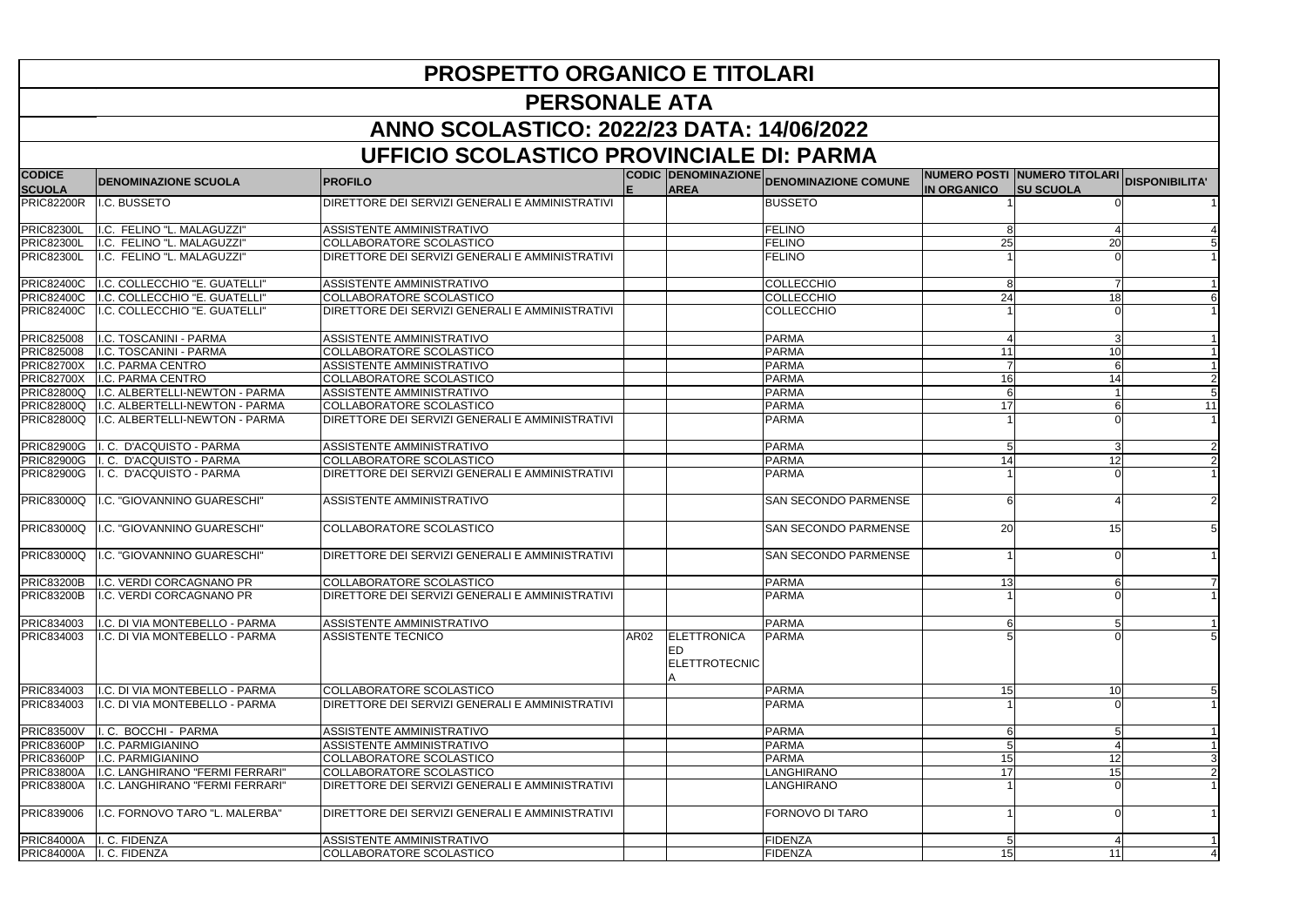**UFFICIO SCOLASTICO PROVINCIALE DI: PARMA**

# **PROSPETTO ORGANICO E TITOLARI**

#### **PERSONALE ATA**

|                                | UFFICIO SCOLASTICO PROVINCIALE DI: PARMA |                                                 |      |                                                          |                                          |                    |                                                   |                       |  |  |  |
|--------------------------------|------------------------------------------|-------------------------------------------------|------|----------------------------------------------------------|------------------------------------------|--------------------|---------------------------------------------------|-----------------------|--|--|--|
| <b>CODICE</b><br><b>SCUOLA</b> | <b>DENOMINAZIONE SCUOLA</b>              | <b>PROFILO</b>                                  |      | <b>AREA</b>                                              | CODIC DENOMINAZIONE DENOMINAZIONE COMUNE | <b>IN ORGANICO</b> | NUMERO POSTI  NUMERO TITOLARI<br><b>SU SCUOLA</b> | <b>DISPONIBILITA'</b> |  |  |  |
| <b>PRIC82200R</b>              | I.C. BUSSETO                             | DIRETTORE DEI SERVIZI GENERALI E AMMINISTRATIVI |      |                                                          | <b>BUSSETO</b>                           |                    |                                                   |                       |  |  |  |
| <b>PRIC82300L</b>              | I.C. FELINO "L. MALAGUZZI"               | ASSISTENTE AMMINISTRATIVO                       |      |                                                          | <b>FELINO</b>                            |                    |                                                   |                       |  |  |  |
| <b>PRIC82300L</b>              | I.C. FELINO "L. MALAGUZZI"               | COLLABORATORE SCOLASTICO                        |      |                                                          | <b>FELINO</b>                            | 25                 | 20                                                |                       |  |  |  |
| <b>PRIC82300L</b>              | II.C. FELINO "L. MALAGUZZI"              | DIRETTORE DEI SERVIZI GENERALI E AMMINISTRATIVI |      |                                                          | <b>FELINO</b>                            |                    |                                                   |                       |  |  |  |
| <b>PRIC82400C</b>              | I.C. COLLECCHIO "E. GUATELLI"            | <b>ASSISTENTE AMMINISTRATIVO</b>                |      |                                                          | <b>COLLECCHIO</b>                        |                    |                                                   |                       |  |  |  |
| <b>PRIC82400C</b>              | I.C. COLLECCHIO "E. GUATELLI"            | COLLABORATORE SCOLASTICO                        |      |                                                          | COLLECCHIO                               | 24                 | 18                                                | 6                     |  |  |  |
| <b>PRIC82400C</b>              | I.C. COLLECCHIO "E. GUATELLI"            | DIRETTORE DEI SERVIZI GENERALI E AMMINISTRATIVI |      |                                                          | <b>COLLECCHIO</b>                        |                    |                                                   |                       |  |  |  |
| <b>PRIC825008</b>              | I.C. TOSCANINI - PARMA                   | ASSISTENTE AMMINISTRATIVO                       |      |                                                          | PARMA                                    |                    | 3                                                 |                       |  |  |  |
| <b>PRIC825008</b>              | I.C. TOSCANINI - PARMA                   | COLLABORATORE SCOLASTICO                        |      |                                                          | PARMA                                    | 11                 | 10                                                |                       |  |  |  |
| <b>PRIC82700X</b>              | I.C. PARMA CENTRO                        | ASSISTENTE AMMINISTRATIVO                       |      |                                                          | PARMA                                    |                    |                                                   |                       |  |  |  |
| <b>PRIC82700X</b>              | I.C. PARMA CENTRO                        | COLLABORATORE SCOLASTICO                        |      |                                                          | PARMA                                    | 16                 | 14                                                | $\overline{2}$        |  |  |  |
| <b>PRIC82800Q</b>              | I.C. ALBERTELLI-NEWTON - PARMA           | ASSISTENTE AMMINISTRATIVO                       |      |                                                          | PARMA                                    |                    |                                                   | 5                     |  |  |  |
| <b>PRIC82800Q</b>              | I.C. ALBERTELLI-NEWTON - PARMA           | COLLABORATORE SCOLASTICO                        |      |                                                          | PARMA                                    | 17                 |                                                   | 11                    |  |  |  |
| <b>PRIC82800Q</b>              | I.C. ALBERTELLI-NEWTON - PARMA           | DIRETTORE DEI SERVIZI GENERALI E AMMINISTRATIVI |      |                                                          | PARMA                                    |                    |                                                   |                       |  |  |  |
| <b>PRIC82900G</b>              | .C. D'ACQUISTO - PARMA                   | ASSISTENTE AMMINISTRATIVO                       |      |                                                          | PARMA                                    |                    |                                                   | $\overline{2}$        |  |  |  |
| <b>PRIC82900G</b>              | .C. D'ACQUISTO - PARMA                   | COLLABORATORE SCOLASTICO                        |      |                                                          | PARMA                                    | 14                 |                                                   |                       |  |  |  |
| <b>PRIC82900G</b>              | .C. D'ACQUISTO - PARMA                   | DIRETTORE DEI SERVIZI GENERALI E AMMINISTRATIVI |      |                                                          | PARMA                                    |                    |                                                   |                       |  |  |  |
| <b>PRIC83000Q</b>              | I.C. "GIOVANNINO GUARESCHI"              | <b>ASSISTENTE AMMINISTRATIVO</b>                |      |                                                          | <b>SAN SECONDO PARMENSE</b>              |                    |                                                   | 2                     |  |  |  |
| <b>PRIC83000Q</b>              | I.C. "GIOVANNINO GUARESCHI"              | COLLABORATORE SCOLASTICO                        |      |                                                          | <b>SAN SECONDO PARMENSE</b>              | 20                 | 15                                                | 5                     |  |  |  |
| <b>PRIC83000Q</b>              | I.C. "GIOVANNINO GUARESCHI"              | DIRETTORE DEI SERVIZI GENERALI E AMMINISTRATIVI |      |                                                          | <b>SAN SECONDO PARMENSE</b>              |                    |                                                   |                       |  |  |  |
| <b>PRIC83200B</b>              | I.C. VERDI CORCAGNANO PR                 | COLLABORATORE SCOLASTICO                        |      |                                                          | PARMA                                    | 13                 |                                                   | $\overline{7}$        |  |  |  |
| <b>PRIC83200B</b>              | I.C. VERDI CORCAGNANO PR                 | DIRETTORE DEI SERVIZI GENERALI E AMMINISTRATIVI |      |                                                          | PARMA                                    |                    |                                                   |                       |  |  |  |
|                                |                                          |                                                 |      |                                                          |                                          |                    |                                                   |                       |  |  |  |
| <b>PRIC834003</b>              | I.C. DI VIA MONTEBELLO - PARMA           | ASSISTENTE AMMINISTRATIVO                       |      |                                                          | PARMA                                    |                    |                                                   |                       |  |  |  |
| PRIC834003                     | I.C. DI VIA MONTEBELLO - PARMA           | ASSISTENTE TECNICO                              | AR02 | <b>ELETTRONICA</b><br><b>IED</b><br><b>ELETTROTECNIC</b> | <b>PARMA</b>                             |                    |                                                   |                       |  |  |  |
| <b>PRIC834003</b>              | I.C. DI VIA MONTEBELLO - PARMA           | COLLABORATORE SCOLASTICO                        |      |                                                          | PARMA                                    | 15                 | 10 <sup>1</sup>                                   | 5                     |  |  |  |
| <b>PRIC834003</b>              | II.C. DI VIA MONTEBELLO - PARMA          | DIRETTORE DEI SERVIZI GENERALI E AMMINISTRATIVI |      |                                                          | PARMA                                    |                    |                                                   |                       |  |  |  |
| <b>PRIC83500V</b>              | I. C. BOCCHI - PARMA                     | <b>ASSISTENTE AMMINISTRATIVO</b>                |      |                                                          | PARMA                                    |                    |                                                   |                       |  |  |  |
| <b>PRIC83600P</b>              | I.C. PARMIGIANINO                        | <b>ASSISTENTE AMMINISTRATIVO</b>                |      |                                                          | PARMA                                    |                    |                                                   |                       |  |  |  |
| <b>PRIC83600P</b>              | I.C. PARMIGIANINO                        | COLLABORATORE SCOLASTICO                        |      |                                                          | PARMA                                    | 15                 | 12                                                | 3                     |  |  |  |
| <b>PRIC83800A</b>              | I.C. LANGHIRANO "FERMI FERRARI"          | COLLABORATORE SCOLASTICO                        |      |                                                          | <b>LANGHIRANO</b>                        | 17                 | 15                                                | $\overline{2}$        |  |  |  |
| <b>PRIC83800A</b>              | I.C. LANGHIRANO "FERMI FERRARI"          | DIRETTORE DEI SERVIZI GENERALI E AMMINISTRATIVI |      |                                                          | <b>LANGHIRANO</b>                        |                    |                                                   |                       |  |  |  |
| <b>PRIC839006</b>              | II.C. FORNOVO TARO "L. MALERBA"          | DIRETTORE DEI SERVIZI GENERALI E AMMINISTRATIVI |      |                                                          | <b>FORNOVO DI TARO</b>                   |                    |                                                   |                       |  |  |  |
| <b>PRIC84000A</b>              | I. C. FIDENZA                            | ASSISTENTE AMMINISTRATIVO                       |      |                                                          | FIDENZA                                  |                    |                                                   |                       |  |  |  |
| <b>PRIC84000A</b>              | I. C. FIDENZA                            | COLLABORATORE SCOLASTICO                        |      |                                                          | FIDENZA                                  | 15                 | 11                                                |                       |  |  |  |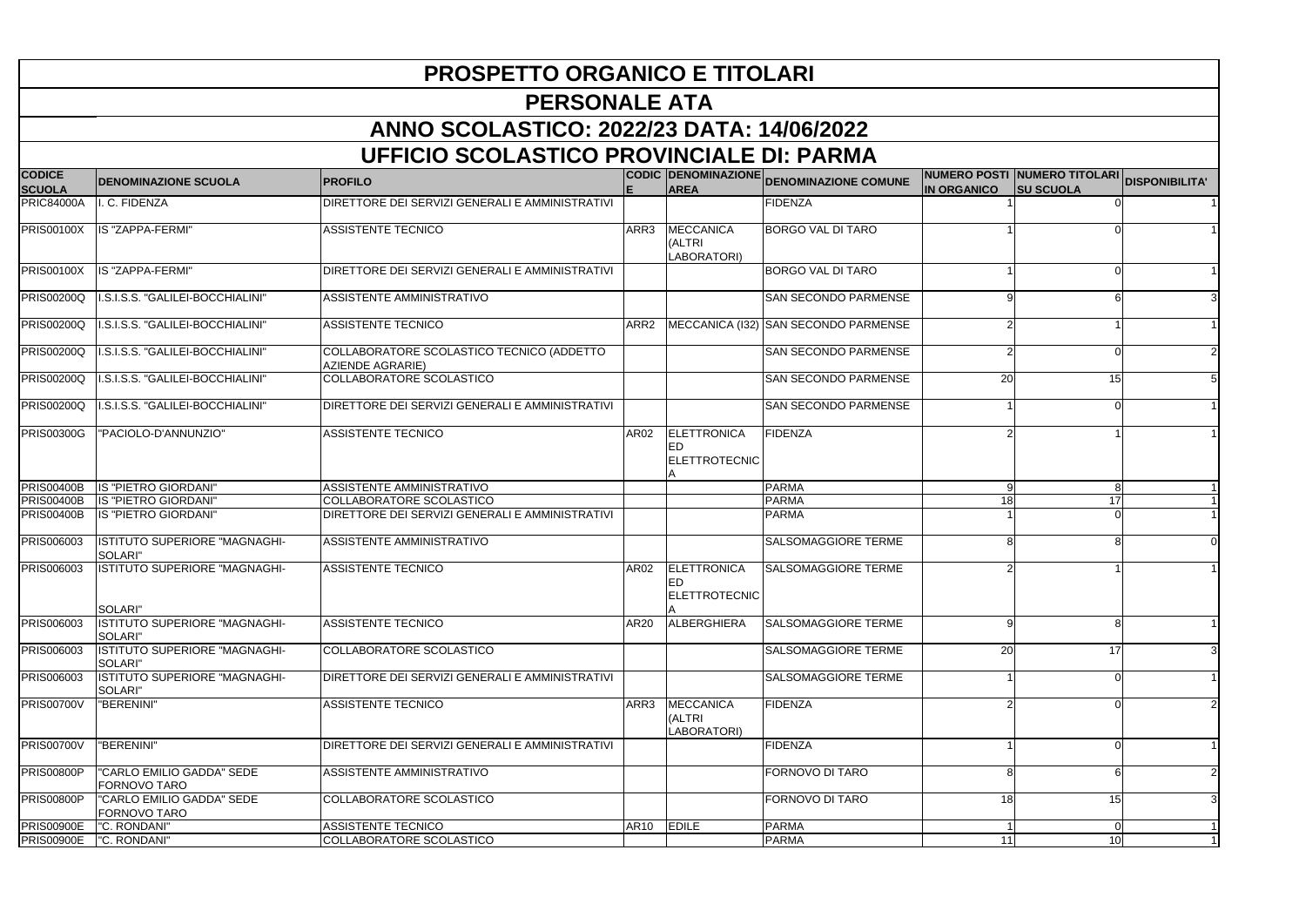## **UFFICIO SCOLASTICO PROVINCIALE DI: PARMA**

# **PROSPETTO ORGANICO E TITOLARI**

#### **PERSONALE ATA**

|                                | <u>ULLIUM SUULASTIUU FRUVINUIALE DI. FARIVIA</u> |                                                               |                  |                                                  |                                          |                    |                                                                 |                |  |
|--------------------------------|--------------------------------------------------|---------------------------------------------------------------|------------------|--------------------------------------------------|------------------------------------------|--------------------|-----------------------------------------------------------------|----------------|--|
| <b>CODICE</b><br><b>SCUOLA</b> | <b>DENOMINAZIONE SCUOLA</b>                      | <b>PROFILO</b>                                                | E                | <b>AREA</b>                                      | CODIC DENOMINAZIONE DENOMINAZIONE COMUNE | <b>IN ORGANICO</b> | NUMERO POSTI NUMERO TITOLARI DISPONIBILITA'<br><b>SU SCUOLA</b> |                |  |
| <b>PRIC84000A</b>              | . C. FIDENZA                                     | DIRETTORE DEI SERVIZI GENERALI E AMMINISTRATIVI               |                  |                                                  | <b>FIDENZA</b>                           |                    |                                                                 |                |  |
| <b>PRIS00100X</b>              | <b>IS "ZAPPA-FERMI"</b>                          | <b>ASSISTENTE TECNICO</b>                                     | ARR3             | <b>MECCANICA</b><br>(ALTRI<br>LABORATORI)        | <b>BORGO VAL DI TARO</b>                 |                    |                                                                 |                |  |
| <b>PRIS00100X</b>              | IS "ZAPPA-FERMI"                                 | DIRETTORE DEI SERVIZI GENERALI E AMMINISTRATIVI               |                  |                                                  | <b>BORGO VAL DI TARO</b>                 |                    |                                                                 |                |  |
| <b>PRIS00200Q</b>              | I.S.I.S.S. "GALILEI-BOCCHIALINI"                 | ASSISTENTE AMMINISTRATIVO                                     |                  |                                                  | <b>SAN SECONDO PARMENSE</b>              |                    |                                                                 | 3              |  |
| <b>PRIS00200Q</b>              | I.S.I.S.S. "GALILEI-BOCCHIALINI"                 | <b>ASSISTENTE TECNICO</b>                                     | ARR <sub>2</sub> |                                                  | MECCANICA (132) SAN SECONDO PARMENSE     |                    |                                                                 |                |  |
| <b>PRIS00200Q</b>              | .S.I.S.S. "GALILEI-BOCCHIALINI"                  | COLLABORATORE SCOLASTICO TECNICO (ADDETTO<br>AZIENDE AGRARIE) |                  |                                                  | <b>SAN SECONDO PARMENSE</b>              |                    |                                                                 |                |  |
| <b>PRIS00200Q</b>              | .S.I.S.S. "GALILEI-BOCCHIALINI"                  | COLLABORATORE SCOLASTICO                                      |                  |                                                  | <b>SAN SECONDO PARMENSE</b>              | 20                 | 15                                                              |                |  |
| <b>PRIS00200Q</b>              | .S.I.S.S. "GALILEI-BOCCHIALINI"                  | DIRETTORE DEI SERVIZI GENERALI E AMMINISTRATIVI               |                  |                                                  | SAN SECONDO PARMENSE                     |                    |                                                                 |                |  |
| <b>PRIS00300G</b>              | "PACIOLO-D'ANNUNZIO"                             | <b>ASSISTENTE TECNICO</b>                                     | <b>AR02</b>      | <b>ELETTRONICA</b><br>ED<br><b>ELETTROTECNIC</b> | <b>FIDENZA</b>                           |                    |                                                                 |                |  |
| <b>PRIS00400B</b>              | IS "PIETRO GIORDANI"                             | ASSISTENTE AMMINISTRATIVO                                     |                  |                                                  | <b>PARMA</b>                             |                    |                                                                 |                |  |
| <b>PRIS00400B</b>              | IS "PIETRO GIORDANI"                             | COLLABORATORE SCOLASTICO                                      |                  |                                                  | <b>PARMA</b>                             | 18                 | 17                                                              |                |  |
| <b>PRIS00400B</b>              | IS "PIETRO GIORDANI"                             | DIRETTORE DEI SERVIZI GENERALI E AMMINISTRATIVI               |                  |                                                  | <b>PARMA</b>                             |                    |                                                                 |                |  |
| <b>PRIS006003</b>              | ISTITUTO SUPERIORE "MAGNAGHI-<br>SOLARI"         | ASSISTENTE AMMINISTRATIVO                                     |                  |                                                  | <b>SALSOMAGGIORE TERME</b>               |                    |                                                                 | $\Omega$       |  |
| <b>PRIS006003</b>              | ISTITUTO SUPERIORE "MAGNAGHI-<br>SOLARI"         | <b>ASSISTENTE TECNICO</b>                                     | <b>AR02</b>      | ELETTRONICA<br><b>ELETTROTECNIC</b>              | <b>SALSOMAGGIORE TERME</b>               |                    |                                                                 |                |  |
| <b>PRIS006003</b>              | ISTITUTO SUPERIORE "MAGNAGHI-<br>SOLARI"         | <b>ASSISTENTE TECNICO</b>                                     | <b>AR20</b>      | <b>ALBERGHIERA</b>                               | <b>SALSOMAGGIORE TERME</b>               |                    |                                                                 |                |  |
| <b>PRIS006003</b>              | <b>ISTITUTO SUPERIORE "MAGNAGHI-</b><br>SOLARI"  | <b>COLLABORATORE SCOLASTICO</b>                               |                  |                                                  | <b>SALSOMAGGIORE TERME</b>               | <b>20</b>          | 17                                                              |                |  |
| <b>PRIS006003</b>              | ISTITUTO SUPERIORE "MAGNAGHI-<br>SOLARI"         | DIRETTORE DEI SERVIZI GENERALI E AMMINISTRATIVI               |                  |                                                  | <b>SALSOMAGGIORE TERME</b>               |                    |                                                                 |                |  |
| <b>PRIS00700V</b>              | "BERENINI"                                       | <b>ASSISTENTE TECNICO</b>                                     | ARR3             | <b>MECCANICA</b><br>(ALTRI<br>LABORATORI)        | <b>FIDENZA</b>                           |                    |                                                                 | 2              |  |
| PRIS00700V                     | "BERENINI"                                       | DIRETTORE DEI SERVIZI GENERALI E AMMINISTRATIVI               |                  |                                                  | <b>FIDENZA</b>                           |                    |                                                                 |                |  |
| <b>PRIS00800P</b>              | "CARLO EMILIO GADDA" SEDE<br>FORNOVO TARO        | ASSISTENTE AMMINISTRATIVO                                     |                  |                                                  | FORNOVO DI TARO                          |                    |                                                                 | $\overline{2}$ |  |
| <b>PRIS00800P</b>              | "CARLO EMILIO GADDA" SEDE<br>FORNOVO TARO        | COLLABORATORE SCOLASTICO                                      |                  |                                                  | FORNOVO DI TARO                          | 18                 | 15                                                              | 3              |  |
| <b>PRIS00900E</b>              | "C. RONDANI"                                     | ASSISTENTE TECNICO                                            | <b>AR10</b>      | <b>EDILE</b>                                     | PARMA                                    |                    | 0                                                               |                |  |
| <b>PRIS00900E</b>              | "C. RONDANI"                                     | COLLABORATORE SCOLASTICO                                      |                  |                                                  | PARMA                                    | 11                 | 10                                                              |                |  |
|                                |                                                  |                                                               |                  |                                                  |                                          |                    |                                                                 |                |  |